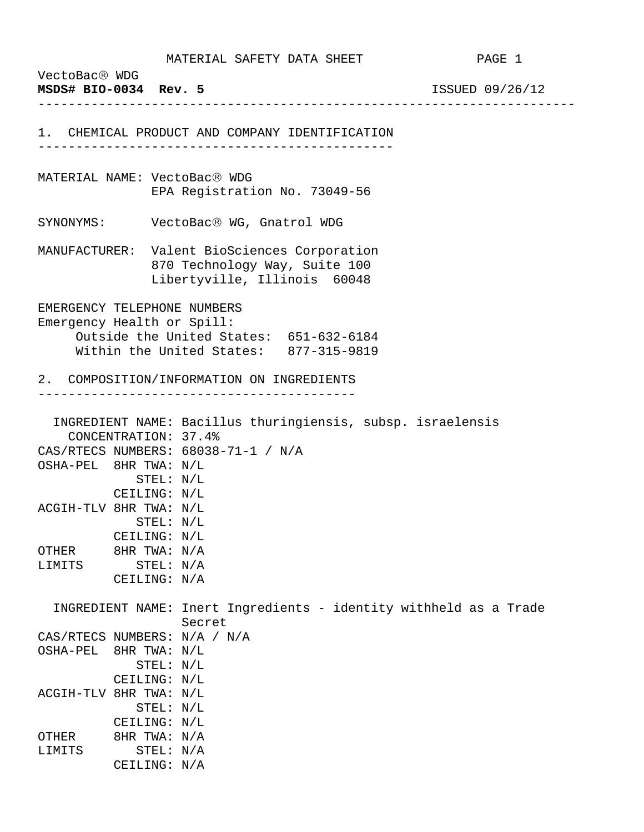MATERIAL SAFETY DATA SHEET **EXAMPLE 1** VectoBac® WDG **MSDS# BIO-0034 Rev. 5** ISSUED 09/26/12 ----------------------------------------------------------------------- 1. CHEMICAL PRODUCT AND COMPANY IDENTIFICATION ----------------------------------------------- MATERIAL NAME: VectoBac® WDG EPA Registration No. 73049-56 SYNONYMS: VectoBac® WG, Gnatrol WDG MANUFACTURER: Valent BioSciences Corporation 870 Technology Way, Suite 100 Libertyville, Illinois 60048 EMERGENCY TELEPHONE NUMBERS Emergency Health or Spill: Outside the United States: 651-632-6184 Within the United States: 877-315-9819 2. COMPOSITION/INFORMATION ON INGREDIENTS ------------------------------------------ INGREDIENT NAME: Bacillus thuringiensis, subsp. israelensis CONCENTRATION: 37.4% CAS/RTECS NUMBERS: 68038-71-1 / N/A OSHA-PEL 8HR TWA: N/L STEL: N/L CEILING: N/L ACGIH-TLV 8HR TWA: N/L STEL: N/L CEILING: N/L OTHER 8HR TWA: N/A LIMITS STEL: N/A CEILING: N/A INGREDIENT NAME: Inert Ingredients - identity withheld as a Trade Secret CAS/RTECS NUMBERS: N/A / N/A OSHA-PEL 8HR TWA: N/L STEL: N/L CEILING: N/L ACGIH-TLV 8HR TWA: N/L STEL: N/L CEILING: N/L OTHER 8HR TWA: N/A

LIMITS STEL: N/A

CEILING: N/A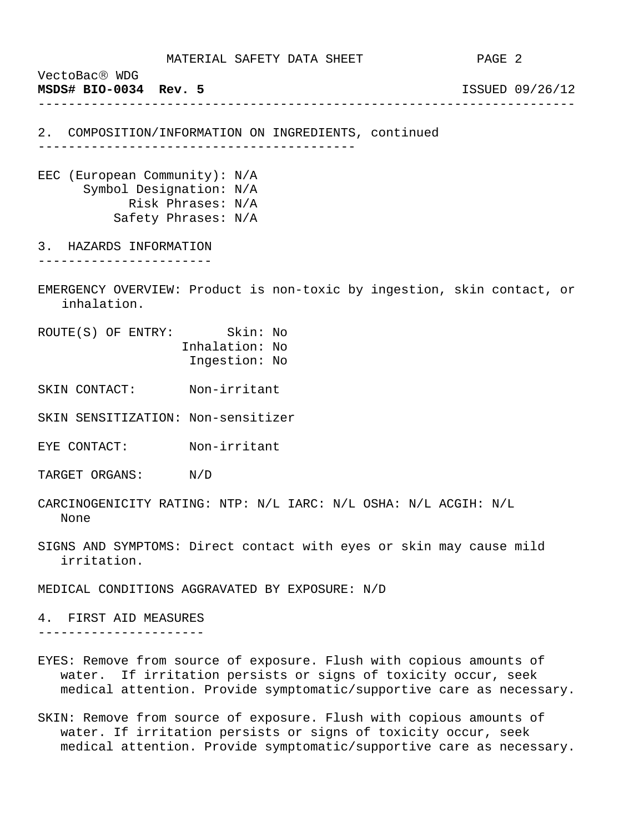| MATERIAL SAFETY DATA SHEET |  |  |  | PAGE |  |
|----------------------------|--|--|--|------|--|
|----------------------------|--|--|--|------|--|

VectoBac® WDG **MSDS# BIO-0034 Rev. 5 ISSUED 09/26/12** -----------------------------------------------------------------------

2. COMPOSITION/INFORMATION ON INGREDIENTS, continued ------------------------------------------

EEC (European Community): N/A Symbol Designation: N/A Risk Phrases: N/A Safety Phrases: N/A

- 3. HAZARDS INFORMATION -----------------------
- EMERGENCY OVERVIEW: Product is non-toxic by ingestion, skin contact, or inhalation.

ROUTE(S) OF ENTRY: Skin: No Inhalation: No Ingestion: No

- SKIN CONTACT: Non-irritant
- SKIN SENSITIZATION: Non-sensitizer
- EYE CONTACT: Non-irritant
- TARGET ORGANS: N/D
- CARCINOGENICITY RATING: NTP: N/L IARC: N/L OSHA: N/L ACGIH: N/L None
- SIGNS AND SYMPTOMS: Direct contact with eyes or skin may cause mild irritation.

MEDICAL CONDITIONS AGGRAVATED BY EXPOSURE: N/D

4. FIRST AID MEASURES

----------------------

- EYES: Remove from source of exposure. Flush with copious amounts of water. If irritation persists or signs of toxicity occur, seek medical attention. Provide symptomatic/supportive care as necessary.
- SKIN: Remove from source of exposure. Flush with copious amounts of water. If irritation persists or signs of toxicity occur, seek medical attention. Provide symptomatic/supportive care as necessary.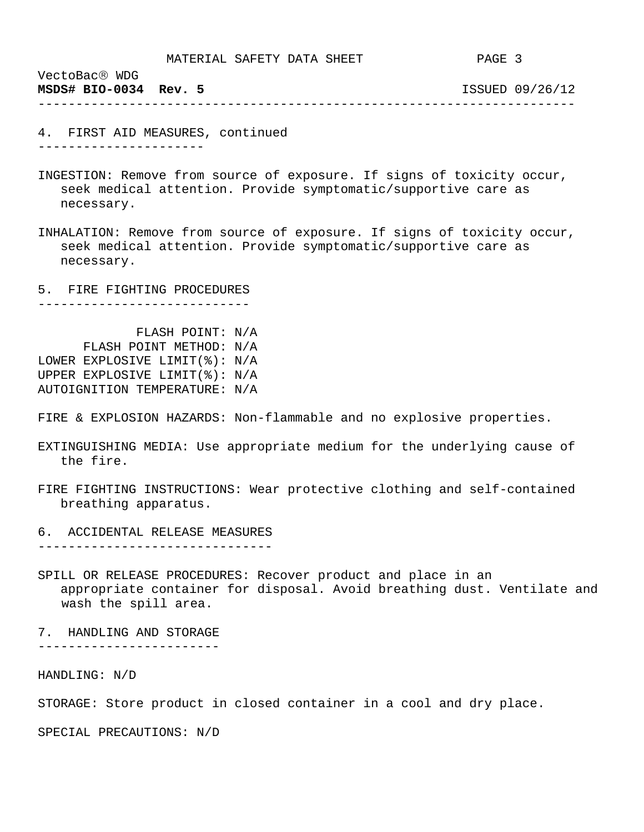| MATERIAL SAFETY DATA SHEET |  | PAGE |
|----------------------------|--|------|
|----------------------------|--|------|

VectoBac® WDG **MSDS# BIO-0034 Rev. 5** ISSUED 09/26/12 -----------------------------------------------------------------------

4. FIRST AID MEASURES, continued ----------------------

- INGESTION: Remove from source of exposure. If signs of toxicity occur, seek medical attention. Provide symptomatic/supportive care as necessary.
- INHALATION: Remove from source of exposure. If signs of toxicity occur, seek medical attention. Provide symptomatic/supportive care as necessary.

5. FIRE FIGHTING PROCEDURES ----------------------------

 FLASH POINT: N/A FLASH POINT METHOD: N/A LOWER EXPLOSIVE LIMIT(%): N/A UPPER EXPLOSIVE LIMIT(%): N/A AUTOIGNITION TEMPERATURE: N/A

FIRE & EXPLOSION HAZARDS: Non-flammable and no explosive properties.

- EXTINGUISHING MEDIA: Use appropriate medium for the underlying cause of the fire.
- FIRE FIGHTING INSTRUCTIONS: Wear protective clothing and self-contained breathing apparatus.
- 6. ACCIDENTAL RELEASE MEASURES -------------------------------
- SPILL OR RELEASE PROCEDURES: Recover product and place in an appropriate container for disposal. Avoid breathing dust. Ventilate and wash the spill area.

7. HANDLING AND STORAGE ------------------------

HANDLING: N/D

STORAGE: Store product in closed container in a cool and dry place.

SPECIAL PRECAUTIONS: N/D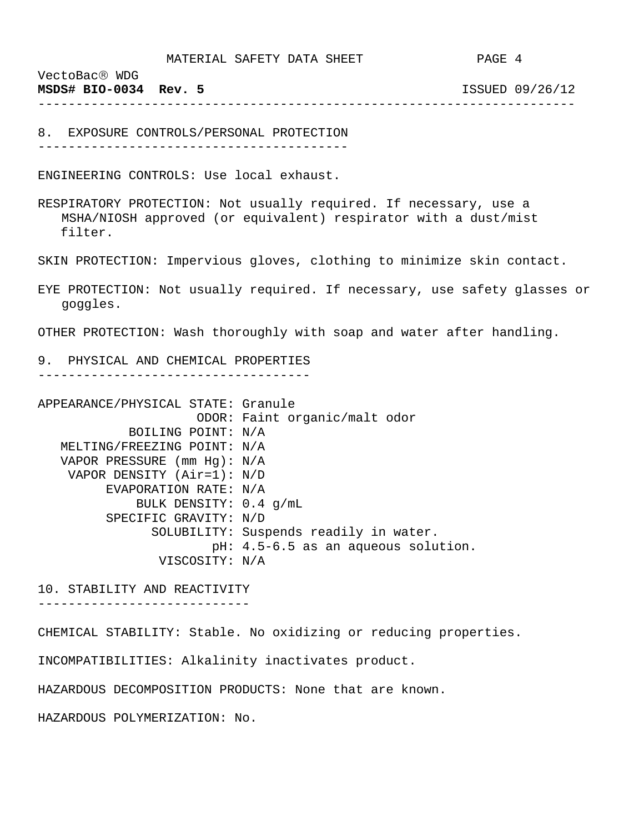| MATERIAL SAFETY DATA SHEET |  |  |  | PAGE |  |
|----------------------------|--|--|--|------|--|
|----------------------------|--|--|--|------|--|

VectoBac® WDG **MSDS# BIO-0034 Rev. 5 ISSUED 09/26/12** 

-----------------------------------------------------------------------

8. EXPOSURE CONTROLS/PERSONAL PROTECTION -----------------------------------------

ENGINEERING CONTROLS: Use local exhaust.

RESPIRATORY PROTECTION: Not usually required. If necessary, use a MSHA/NIOSH approved (or equivalent) respirator with a dust/mist filter.

SKIN PROTECTION: Impervious gloves, clothing to minimize skin contact.

EYE PROTECTION: Not usually required. If necessary, use safety glasses or goggles.

OTHER PROTECTION: Wash thoroughly with soap and water after handling.

9. PHYSICAL AND CHEMICAL PROPERTIES

------------------------------------

APPEARANCE/PHYSICAL STATE: Granule ODOR: Faint organic/malt odor BOILING POINT: N/A MELTING/FREEZING POINT: N/A VAPOR PRESSURE (mm Hg): N/A VAPOR DENSITY (Air=1): N/D EVAPORATION RATE: N/A BULK DENSITY: 0.4 g/mL SPECIFIC GRAVITY: N/D SOLUBILITY: Suspends readily in water. pH: 4.5-6.5 as an aqueous solution. VISCOSITY: N/A

10. STABILITY AND REACTIVITY

----------------------------

CHEMICAL STABILITY: Stable. No oxidizing or reducing properties.

INCOMPATIBILITIES: Alkalinity inactivates product.

HAZARDOUS DECOMPOSITION PRODUCTS: None that are known.

HAZARDOUS POLYMERIZATION: No.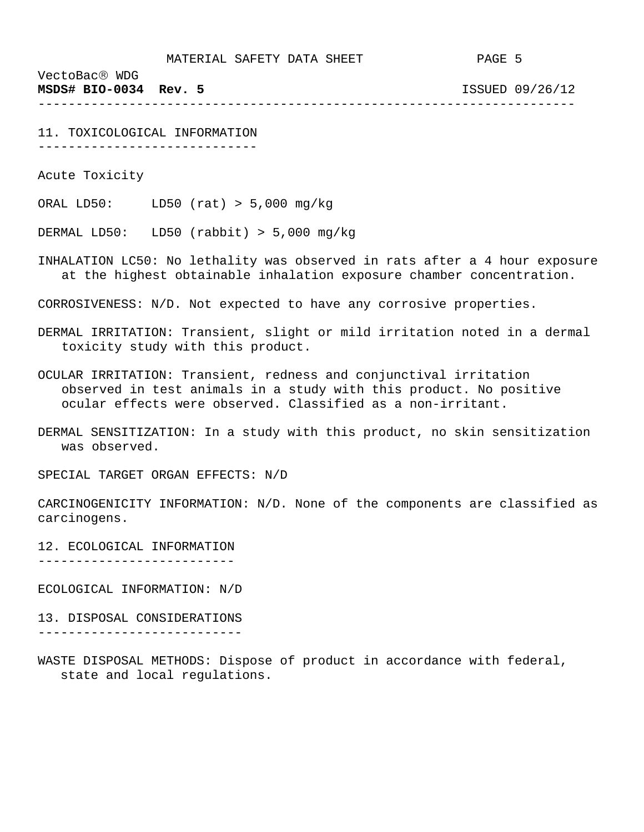VectoBac® WDG **MSDS# BIO-0034 Rev. 5 ISSUED 09/26/12** 

-----------------------------------------------------------------------

11. TOXICOLOGICAL INFORMATION -----------------------------

Acute Toxicity

ORAL LD50: LD50 (rat) > 5,000 mg/kg

DERMAL LD50: LD50 (rabbit) > 5,000 mg/kg

INHALATION LC50: No lethality was observed in rats after a 4 hour exposure at the highest obtainable inhalation exposure chamber concentration.

CORROSIVENESS: N/D. Not expected to have any corrosive properties.

- DERMAL IRRITATION: Transient, slight or mild irritation noted in a dermal toxicity study with this product.
- OCULAR IRRITATION: Transient, redness and conjunctival irritation observed in test animals in a study with this product. No positive ocular effects were observed. Classified as a non-irritant.
- DERMAL SENSITIZATION: In a study with this product, no skin sensitization was observed.

SPECIAL TARGET ORGAN EFFECTS: N/D

CARCINOGENICITY INFORMATION: N/D. None of the components are classified as carcinogens.

12. ECOLOGICAL INFORMATION --------------------------

ECOLOGICAL INFORMATION: N/D

13. DISPOSAL CONSIDERATIONS

---------------------------

WASTE DISPOSAL METHODS: Dispose of product in accordance with federal, state and local regulations.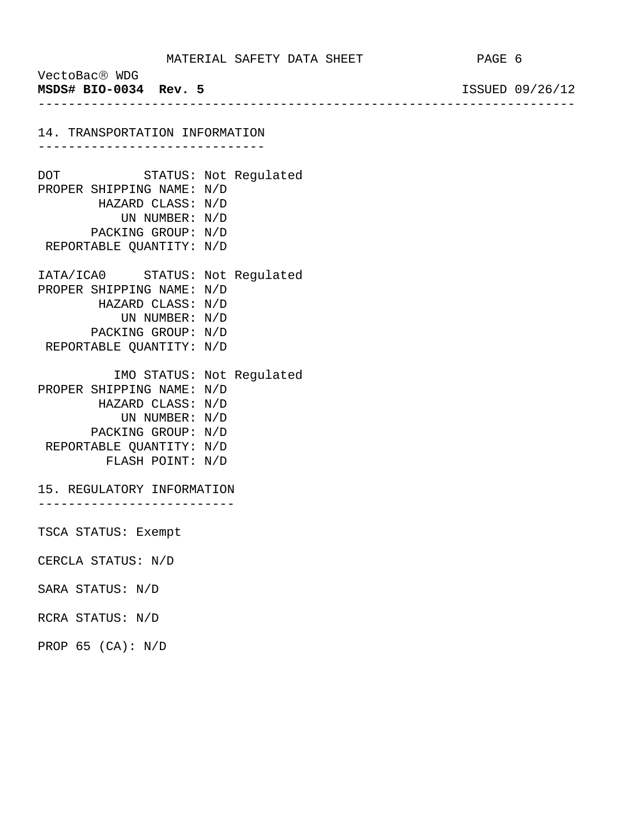VectoBac® WDG **MSDS# BIO-0034 Rev. 5 ISSUED 09/26/12** ----------------------------------------------------------------------- 14. TRANSPORTATION INFORMATION ------------------------------ DOT STATUS: Not Regulated PROPER SHIPPING NAME: N/D HAZARD CLASS: N/D UN NUMBER: N/D PACKING GROUP: N/D REPORTABLE QUANTITY: N/D IATA/ICA0 STATUS: Not Regulated PROPER SHIPPING NAME: N/D HAZARD CLASS: N/D UN NUMBER: N/D PACKING GROUP: N/D REPORTABLE QUANTITY: N/D IMO STATUS: Not Regulated PROPER SHIPPING NAME: N/D HAZARD CLASS: N/D UN NUMBER: N/D PACKING GROUP: N/D REPORTABLE QUANTITY: N/D FLASH POINT: N/D 15. REGULATORY INFORMATION -------------------------- TSCA STATUS: Exempt CERCLA STATUS: N/D SARA STATUS: N/D RCRA STATUS: N/D PROP 65 (CA): N/D